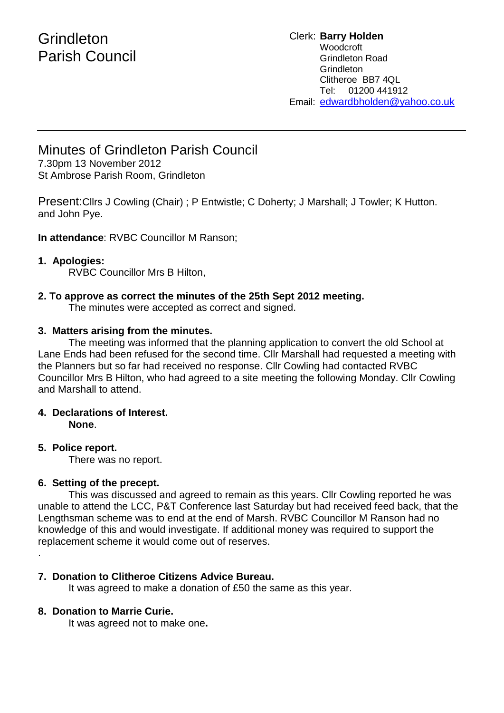# **Grindleton** Parish Council

#### Clerk: **Barry Holden** Woodcroft Grindleton Road **Grindleton** Clitheroe BB7 4QL Tel: 01200 441912 Email: [edwardbholden@yahoo.co.uk](mailto:edwardbholden@yahoo.co.uk)

# Minutes of Grindleton Parish Council

7.30pm 13 November 2012 St Ambrose Parish Room, Grindleton

Present:Cllrs J Cowling (Chair) ; P Entwistle; C Doherty; J Marshall; J Towler; K Hutton. and John Pye.

**In attendance**: RVBC Councillor M Ranson;

## **1. Apologies:**

RVBC Councillor Mrs B Hilton,

## **2. To approve as correct the minutes of the 25th Sept 2012 meeting.**

The minutes were accepted as correct and signed.

#### **3. Matters arising from the minutes.**

The meeting was informed that the planning application to convert the old School at Lane Ends had been refused for the second time. Cllr Marshall had requested a meeting with the Planners but so far had received no response. Cllr Cowling had contacted RVBC Councillor Mrs B Hilton, who had agreed to a site meeting the following Monday. Cllr Cowling and Marshall to attend.

#### **4. Declarations of Interest. None**.

## **5. Police report.**

.

There was no report.

#### **6. Setting of the precept.**

This was discussed and agreed to remain as this years. Cllr Cowling reported he was unable to attend the LCC, P&T Conference last Saturday but had received feed back, that the Lengthsman scheme was to end at the end of Marsh. RVBC Councillor M Ranson had no knowledge of this and would investigate. If additional money was required to support the replacement scheme it would come out of reserves.

## **7. Donation to Clitheroe Citizens Advice Bureau.**

It was agreed to make a donation of £50 the same as this year.

#### **8. Donation to Marrie Curie.**

It was agreed not to make one**.**